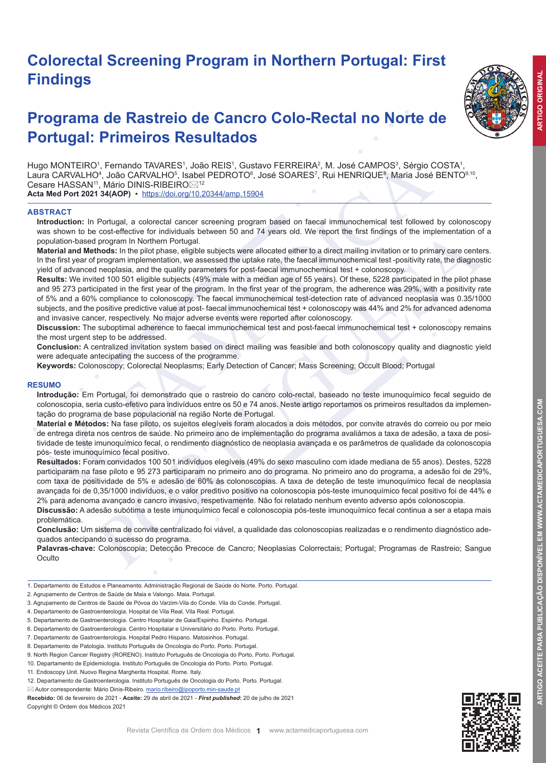# **Colorectal Screening Program in Northern Portugal: First Findings**



**ARTIGO ORIGINAL** 

# **Programa de Rastreio de Cancro Colo-Rectal no Norte de Portugal: Primeiros Resultados**

Hugo MONTEIRO1, Fernando TAVARES1, João REIS1, Gustavo FERREIRA2, M. José CAMPOS3, Sérgio COSTA1, Laura CARVALHO<sup>4</sup>, João CARVALHO<sup>5</sup>, Isabel PEDROTO<sup>6</sup>, José SOARES<sup>7</sup>, Rui HENRIQUE<sup>8</sup>, Maria José BENTO<sup>9,10</sup>, Cesare HASSAN<sup>11</sup>, Mário DINIS-RIBEIRO⊠<sup>12</sup>

**Acta Med Port 2021 34(AOP)** ▪https://doi.org/10.20344/amp.15904

#### **ABSTRACT**

**Introduction:** In Portugal, a colorectal cancer screening program based on faecal immunochemical test followed by colonoscopy was shown to be cost-effective for individuals between 50 and 74 years old. We report the first findings of the implementation of a population-based program In Northern Portugal.

**Material and Methods:** In the pilot phase, eligible subjects were allocated either to a direct mailing invitation or to primary care centers. In the first year of program implementation, we assessed the uptake rate, the faecal immunochemical test -positivity rate, the diagnostic yield of advanced neoplasia, and the quality parameters for post-faecal immunochemical test + colonoscopy.

**Results:** We invited 100 501 eligible subjects (49% male with a median age of 55 years). Of these, 5228 participated in the pilot phase and 95 273 participated in the first year of the program. In the first year of the program, the adherence was 29%, with a positivity rate of 5% and a 60% compliance to colonoscopy. The faecal immunochemical test-detection rate of advanced neoplasia was 0.35/1000 subjects, and the positive predictive value at post- faecal immunochemical test + colonoscopy was 44% and 2% for advanced adenoma and invasive cancer, respectively. No major adverse events were reported after colonoscopy.

**Discussion:** The suboptimal adherence to faecal immunochemical test and post-faecal immunochemical test + colonoscopy remains the most urgent step to be addressed.

**Conclusion:** A centralized invitation system based on direct mailing was feasible and both colonoscopy quality and diagnostic yield were adequate antecipating the success of the programme.

**Keywords:** Colonoscopy; Colorectal Neoplasms; Early Detection of Cancer; Mass Screening; Occult Blood; Portugal

#### **RESUMO**

**Introdução:** Em Portugal, foi demonstrado que o rastreio do cancro colo-rectal, baseado no teste imunoquímico fecal seguido de colonoscopia, seria custo-efetivo para indivíduos entre os 50 e 74 anos. Neste artigo reportamos os primeiros resultados da implementação do programa de base populacional na região Norte de Portugal.

**Material e Métodos:** Na fase piloto, os sujeitos elegíveis foram alocados a dois métodos, por convite através do correio ou por meio de entrega direta nos centros de saúde. No primeiro ano de implementação do programa avaliámos a taxa de adesão, a taxa de positividade de teste imunoquímico fecal, o rendimento diagnóstico de neoplasia avançada e os parâmetros de qualidade da colonoscopia pós- teste imunoquímico fecal positivo.

**Resultados:** Foram convidados 100 501 indivíduos elegíveis (49% do sexo masculino com idade mediana de 55 anos). Destes, 5228 participaram na fase piloto e 95 273 participaram no primeiro ano do programa. No primeiro ano do programa, a adesão foi de 29%, com taxa de positividade de 5% e adesão de 60% às colonoscopias. A taxa de deteção de teste imunoquímico fecal de neoplasia avançada foi de 0,35/1000 indivíduos, e o valor preditivo positivo na colonoscopia pós-teste imunoquímico fecal positivo foi de 44% e 2% para adenoma avançado e cancro invasivo, respetivamente. Não foi relatado nenhum evento adverso após colonoscopia.

**Discussão:** A adesão subótima a teste imunoquímico fecal e colonoscopia pós-teste imunoquímico fecal continua a ser a etapa mais problemática.

**Conclusão:** Um sistema de convite centralizado foi viável, a qualidade das colonoscopias realizadas e o rendimento diagnóstico adequados antecipando o sucesso do programa.

**Palavras-chave:** Colonoscopia; Detecção Precoce de Cancro; Neoplasias Colorrectais; Portugal; Programas de Rastreio; Sangue **Oculto** 

- 1. Departamento de Estudos e Planeamento. Administração Regional de Saúde do Norte. Porto. Portugal.
- 2. Agrupamento de Centros de Saúde de Maia e Valongo. Maia. Portugal.
- 3. Agrupamento de Centros de Saúde de Póvoa do Varzim-Vila do Conde. Vila do Conde. Portugal.
- 4. Departamento de Gastroenterologia. Hospital de Vila Real. Vila Real. Portugal.

- 6. Departamento de Gastroenterologia. Centro Hospitalar e Universitário do Porto. Porto. Portugal.
- 7. Departamento de Gastroenterologia. Hospital Pedro Hispano. Matosinhos. Portugal.

- 9. North Region Cancer Registry (RORENO). Instituto Português de Oncologia do Porto. Porto. Portugal.
- 10. Departamento de Epidemiologia. Instituto Português de Oncologia do Porto. Porto. Portugal.
- 11. Endoscopy Unit. Nuovo Regina Margherita Hospital. Rome. Italy.
- 12. Departamento de Gastroenterologia. Instituto Português de Oncologia do Porto. Porto. Portugal.
- $\boxtimes$  Autor correspondente: Mário Dinis-Ribeiro. mario.ribeiro@ipoporto.min-saude.pt

**Recebido:** 06 de fevereiro de 2021 - **Aceite:** 29 de abril de 2021 - *First published***:** 20 de julho de 2021 Copyright © Ordem dos Médicos 2021



<sup>5.</sup> Departamento de Gastroenterologia. Centro Hospitalar de Gaia/Espinho. Espinho. Portugal.

<sup>8.</sup> Departamento de Patologia. Instituto Português de Oncologia do Porto. Porto. Portugal.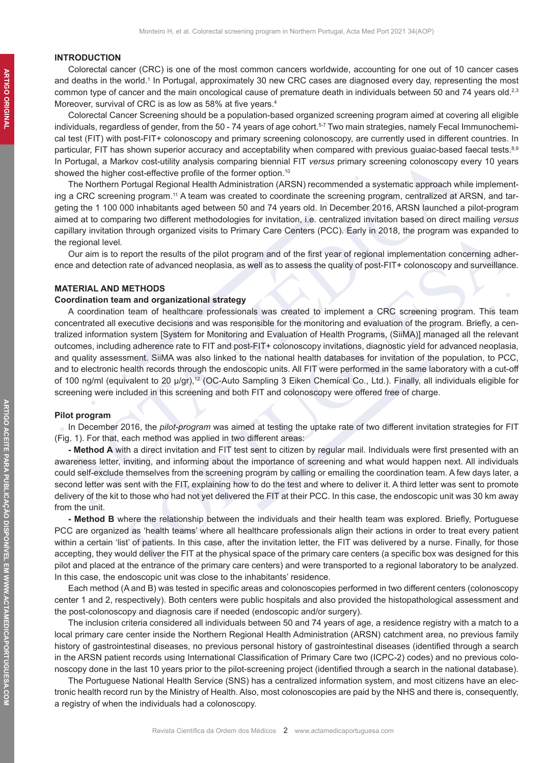#### **INTRODUCTION**

Colorectal cancer (CRC) is one of the most common cancers worldwide, accounting for one out of 10 cancer cases and deaths in the world.<sup>1</sup> In Portugal, approximately 30 new CRC cases are diagnosed every day, representing the most common type of cancer and the main oncological cause of premature death in individuals between 50 and 74 years old.<sup>2,3</sup> Moreover, survival of CRC is as low as 58% at five years.<sup>4</sup>

Colorectal Cancer Screening should be a population-based organized screening program aimed at covering all eligible individuals, regardless of gender, from the 50 - 74 years of age cohort.<sup>5-7</sup> Two main strategies, namely Fecal Immunochemical test (FIT) with post-FIT+ colonoscopy and primary screening colonoscopy, are currently used in different countries. In particular, FIT has shown superior accuracy and acceptability when compared with previous quaiac-based faecal tests.<sup>8,9</sup> In Portugal, a Markov cost-utility analysis comparing biennial FIT *versus* primary screening colonoscopy every 10 years showed the higher cost-effective profile of the former option.<sup>10</sup>

The Northern Portugal Regional Health Administration (ARSN) recommended a systematic approach while implementing a CRC screening program.11 A team was created to coordinate the screening program, centralized at ARSN, and targeting the 1 100 000 inhabitants aged between 50 and 74 years old. In December 2016, ARSN launched a pilot-program aimed at to comparing two different methodologies for invitation, i.e. centralized invitation based on direct mailing *versus* capillary invitation through organized visits to Primary Care Centers (PCC). Early in 2018, the program was expanded to the regional level*.*

Our aim is to report the results of the pilot program and of the first year of regional implementation concerning adherence and detection rate of advanced neoplasia, as well as to assess the quality of post-FIT+ colonoscopy and surveillance.

## **MATERIAL AND METHODS**

#### **Coordination team and organizational strategy**

A coordination team of healthcare professionals was created to implement a CRC screening program. This team concentrated all executive decisions and was responsible for the monitoring and evaluation of the program. Briefly, a centralized information system [System for Monitoring and Evaluation of Health Programs, (SiiMA)] managed all the relevant outcomes, including adherence rate to FIT and post-FIT+ colonoscopy invitations, diagnostic yield for advanced neoplasia, and quality assessment. SiiMA was also linked to the national health databases for invitation of the population, to PCC, and to electronic health records through the endoscopic units. All FIT were performed in the same laboratory with a cut-off of 100 ng/ml (equivalent to 20 μ/gr),<sup>12</sup> (OC-Auto Sampling 3 Eiken Chemical Co., Ltd.). Finally, all individuals eligible for screening were included in this screening and both FIT and colonoscopy were offered free of charge.

#### **Pilot program**

In December 2016, the *pilot-program* was aimed at testing the uptake rate of two different invitation strategies for FIT (Fig. 1). For that, each method was applied in two different areas:

**- Method A** with a direct invitation and FIT test sent to citizen by regular mail. Individuals were first presented with an awareness letter, inviting, and informing about the importance of screening and what would happen next. All individuals could self-exclude themselves from the screening program by calling or emailing the coordination team. A few days later, a second letter was sent with the FIT, explaining how to do the test and where to deliver it. A third letter was sent to promote delivery of the kit to those who had not yet delivered the FIT at their PCC. In this case, the endoscopic unit was 30 km away from the unit.

**- Method B** where the relationship between the individuals and their health team was explored. Briefly, Portuguese PCC are organized as 'health teams' where all healthcare professionals align their actions in order to treat every patient within a certain 'list' of patients. In this case, after the invitation letter, the FIT was delivered by a nurse. Finally, for those accepting, they would deliver the FIT at the physical space of the primary care centers (a specific box was designed for this pilot and placed at the entrance of the primary care centers) and were transported to a regional laboratory to be analyzed. In this case, the endoscopic unit was close to the inhabitants' residence.

Each method (A and B) was tested in specific areas and colonoscopies performed in two different centers (colonoscopy center 1 and 2, respectively). Both centers were public hospitals and also provided the histopathological assessment and the post-colonoscopy and diagnosis care if needed (endoscopic and/or surgery).

The inclusion criteria considered all individuals between 50 and 74 years of age, a residence registry with a match to a local primary care center inside the Northern Regional Health Administration (ARSN) catchment area, no previous family history of gastrointestinal diseases, no previous personal history of gastrointestinal diseases (identified through a search in the ARSN patient records using International Classification of Primary Care two (ICPC-2) codes) and no previous colonoscopy done in the last 10 years prior to the pilot-screening project (identified through a search in the national database).

The Portuguese National Health Service (SNS) has a centralized information system, and most citizens have an electronic health record run by the Ministry of Health. Also, most colonoscopies are paid by the NHS and there is, consequently, a registry of when the individuals had a colonoscopy.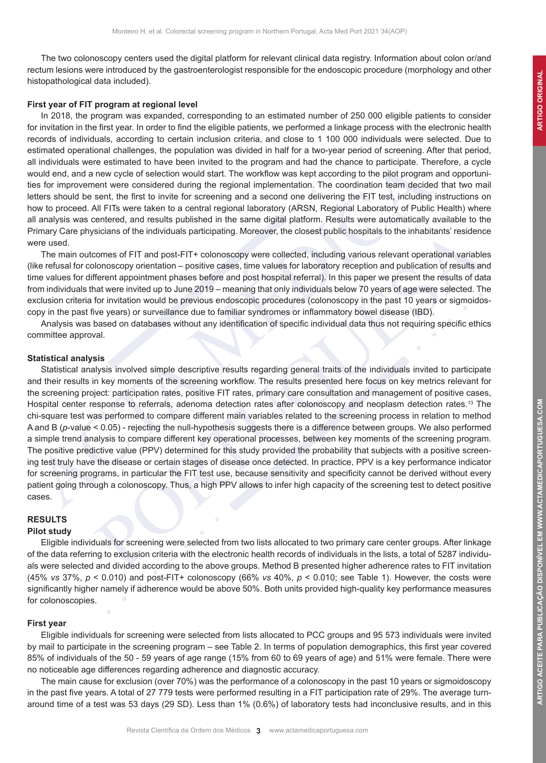ARTIGO ACEITE PARA PUBLICAÇÃO DISPONÍVEL EM WWW.ACTAMEDICAPORTUGUESA.COM

The two colonoscopy centers used the digital platform for relevant clinical data registry. Information about colon or/and rectum lesions were introduced by the gastroenterologist responsible for the endoscopic procedure (morphology and other histopathological data included).

## **First year of FIT program at regional level**

In 2018, the program was expanded, corresponding to an estimated number of 250 000 eligible patients to consider for invitation in the first year. In order to find the eligible patients, we performed a linkage process with the electronic health records of individuals, according to certain inclusion criteria, and close to 1 100 000 individuals were selected. Due to estimated operational challenges, the population was divided in half for a two-year period of screening. After that period, all individuals were estimated to have been invited to the program and had the chance to participate. Therefore, a cycle would end, and a new cycle of selection would start. The workflow was kept according to the pilot program and opportunities for improvement were considered during the regional implementation. The coordination team decided that two mail letters should be sent, the first to invite for screening and a second one delivering the FIT test, including instructions on how to proceed. All FITs were taken to a central regional laboratory (ARSN, Regional Laboratory of Public Health) where all analysis was centered, and results published in the same digital platform. Results were automatically available to the Primary Care physicians of the individuals participating. Moreover, the closest public hospitals to the inhabitants' residence were used.

The main outcomes of FIT and post-FIT+ colonoscopy were collected, including various relevant operational variables (like refusal for colonoscopy orientation – positive cases, time values for laboratory reception and publication of results and time values for different appointment phases before and post hospital referral). In this paper we present the results of data from individuals that were invited up to June 2019 – meaning that only individuals below 70 years of age were selected. The exclusion criteria for invitation would be previous endoscopic procedures (colonoscopy in the past 10 years or sigmoidoscopy in the past five years) or surveillance due to familiar syndromes or inflammatory bowel disease (IBD).

Analysis was based on databases without any identification of specific individual data thus not requiring specific ethics committee approval.

#### **Statistical analysis**

Statistical analysis involved simple descriptive results regarding general traits of the individuals invited to participate and their results in key moments of the screening workflow. The results presented here focus on key metrics relevant for the screening project: participation rates, positive FIT rates, primary care consultation and management of positive cases, Hospital center response to referrals, adenoma detection rates after colonoscopy and neoplasm detection rates.<sup>13</sup> The chi-square test was performed to compare different main variables related to the screening process in relation to method A and B (*p*-value < 0.05) - rejecting the null-hypothesis suggests there is a difference between groups. We also performed a simple trend analysis to compare different key operational processes, between key moments of the screening program. The positive predictive value (PPV) determined for this study provided the probability that subjects with a positive screening test truly have the disease or certain stages of disease once detected. In practice, PPV is a key performance indicator for screening programs, in particular the FIT test use, because sensitivity and specificity cannot be derived without every patient going through a colonoscopy. Thus, a high PPV allows to infer high capacity of the screening test to detect positive cases.

# **RESULTS**

## **Pilot study**

Eligible individuals for screening were selected from two lists allocated to two primary care center groups. After linkage of the data referring to exclusion criteria with the electronic health records of individuals in the lists, a total of 5287 individuals were selected and divided according to the above groups. Method B presented higher adherence rates to FIT invitation (45% *vs* 37%,  $p < 0.010$ ) and post-FIT+ colonoscopy (66% *vs* 40%,  $p < 0.010$ ; see Table 1). However, the costs were significantly higher namely if adherence would be above 50%. Both units provided high-quality key performance measures for colonoscopies.

## **First year**

Eligible individuals for screening were selected from lists allocated to PCC groups and 95 573 individuals were invited by mail to participate in the screening program – see Table 2. In terms of population demographics, this first year covered 85% of individuals of the 50 - 59 years of age range (15% from 60 to 69 years of age) and 51% were female. There were no noticeable age differences regarding adherence and diagnostic accuracy.

The main cause for exclusion (over 70%) was the performance of a colonoscopy in the past 10 years or sigmoidoscopy in the past five years. A total of 27 779 tests were performed resulting in a FIT participation rate of 29%. The average turnaround time of a test was 53 days (29 SD). Less than 1% (0.6%) of laboratory tests had inconclusive results, and in this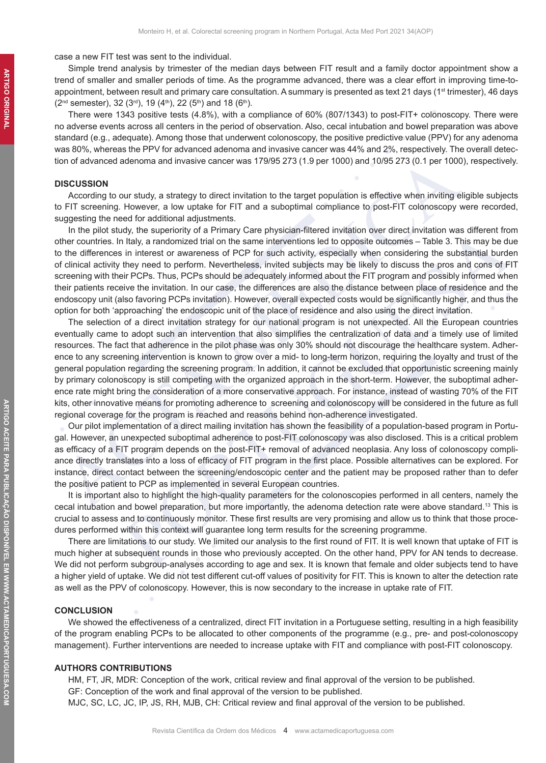case a new FIT test was sent to the individual.

Simple trend analysis by trimester of the median days between FIT result and a family doctor appointment show a trend of smaller and smaller periods of time. As the programme advanced, there was a clear effort in improving time-toappointment, between result and primary care consultation. A summary is presented as text 21 days (1<sup>st</sup> trimester), 46 days  $(2^{nd}$  semester), 32  $(3^{rd})$ , 19  $(4^{th})$ , 22  $(5^{th})$  and 18  $(6^{th})$ .

There were 1343 positive tests (4.8%), with a compliance of 60% (807/1343) to post-FIT+ colonoscopy. There were no adverse events across all centers in the period of observation. Also, cecal intubation and bowel preparation was above standard (e.g., adequate). Among those that underwent colonoscopy, the positive predictive value (PPV) for any adenoma was 80%, whereas the PPV for advanced adenoma and invasive cancer was 44% and 2%, respectively. The overall detection of advanced adenoma and invasive cancer was 179/95 273 (1.9 per 1000) and 10/95 273 (0.1 per 1000), respectively.

### **DISCUSSION**

According to our study, a strategy to direct invitation to the target population is effective when inviting eligible subjects to FIT screening. However, a low uptake for FIT and a suboptimal compliance to post-FIT colonoscopy were recorded, suggesting the need for additional adjustments.

In the pilot study, the superiority of a Primary Care physician-filtered invitation over direct invitation was different from other countries. In Italy, a randomized trial on the same interventions led to opposite outcomes – Table 3. This may be due to the differences in interest or awareness of PCP for such activity, especially when considering the substantial burden of clinical activity they need to perform. Nevertheless, invited subjects may be likely to discuss the pros and cons of FIT screening with their PCPs. Thus, PCPs should be adequately informed about the FIT program and possibly informed when their patients receive the invitation. In our case, the differences are also the distance between place of residence and the endoscopy unit (also favoring PCPs invitation). However, overall expected costs would be significantly higher, and thus the option for both 'approaching' the endoscopic unit of the place of residence and also using the direct invitation.

The selection of a direct invitation strategy for our national program is not unexpected. All the European countries eventually came to adopt such an intervention that also simplifies the centralization of data and a timely use of limited resources. The fact that adherence in the pilot phase was only 30% should not discourage the healthcare system. Adherence to any screening intervention is known to grow over a mid- to long-term horizon, requiring the loyalty and trust of the general population regarding the screening program. In addition, it cannot be excluded that opportunistic screening mainly by primary colonoscopy is still competing with the organized approach in the short-term. However, the suboptimal adherence rate might bring the consideration of a more conservative approach. For instance, instead of wasting 70% of the FIT kits, other innovative means for promoting adherence to screening and colonoscopy will be considered in the future as full regional coverage for the program is reached and reasons behind non-adherence investigated.

Our pilot implementation of a direct mailing invitation has shown the feasibility of a population-based program in Portugal. However, an unexpected suboptimal adherence to post-FIT colonoscopy was also disclosed. This is a critical problem as efficacy of a FIT program depends on the post-FIT+ removal of advanced neoplasia. Any loss of colonoscopy compliance directly translates into a loss of efficacy of FIT program in the first place. Possible alternatives can be explored. For instance, direct contact between the screening/endoscopic center and the patient may be proposed rather than to defer the positive patient to PCP as implemented in several European countries.

It is important also to highlight the high-quality parameters for the colonoscopies performed in all centers, namely the cecal intubation and bowel preparation, but more importantly, the adenoma detection rate were above standard.<sup>13</sup> This is crucial to assess and to continuously monitor. These first results are very promising and allow us to think that those procedures performed within this context will guarantee long term results for the screening programme.

There are limitations to our study. We limited our analysis to the first round of FIT. It is well known that uptake of FIT is much higher at subsequent rounds in those who previously accepted. On the other hand, PPV for AN tends to decrease. We did not perform subgroup-analyses according to age and sex. It is known that female and older subjects tend to have a higher yield of uptake. We did not test different cut-off values of positivity for FIT. This is known to alter the detection rate as well as the PPV of colonoscopy. However, this is now secondary to the increase in uptake rate of FIT.

## **CONCLUSION**

We showed the effectiveness of a centralized, direct FIT invitation in a Portuguese setting, resulting in a high feasibility of the program enabling PCPs to be allocated to other components of the programme (e.g., pre- and post-colonoscopy management). Further interventions are needed to increase uptake with FIT and compliance with post-FIT colonoscopy.

#### **AUTHORS CONTRIBUTIONS**

HM, FT, JR, MDR: Conception of the work, critical review and final approval of the version to be published. GF: Conception of the work and final approval of the version to be published.

MJC, SC, LC, JC, IP, JS, RH, MJB, CH: Critical review and final approval of the version to be published.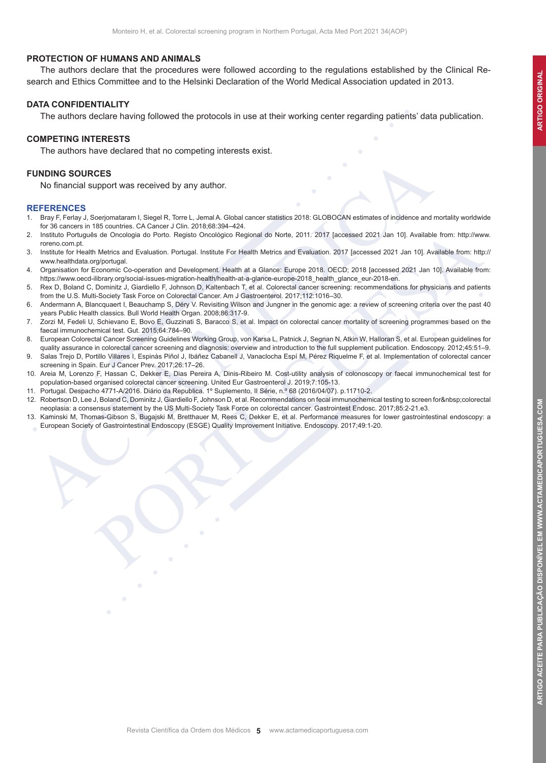ARTIGO ACEITE PARA PUBLICAÇÃO DISPONÍVEL EM WWW.ACTAMEDICAPORTUGUESA.COM

### **PROTECTION OF HUMANS AND ANIMALS**

The authors declare that the procedures were followed according to the regulations established by the Clinical Research and Ethics Committee and to the Helsinki Declaration of the World Medical Association updated in 2013.

### **DATA CONFIDENTIALITY**

The authors declare having followed the protocols in use at their working center regarding patients' data publication.

#### **COMPETING INTERESTS**

The authors have declared that no competing interests exist.

## **FUNDING SOURCES**

No financial support was received by any author.

#### **REFERENCES**

- 1. Bray F, Ferlay J, Soerjomataram I, Siegel R, Torre L, Jemal A. Global cancer statistics 2018: GLOBOCAN estimates of incidence and mortality worldwide for 36 cancers in 185 countries. CA Cancer J Clin. 2018;68:394–424.
- 2. Instituto Português de Oncologia do Porto. Registo Oncológico Regional do Norte, 2011. 2017 [accessed 2021 Jan 10]. Available from: http://www. roreno.com.pt.
- 3. Institute for Health Metrics and Evaluation. Portugal. Institute For Health Metrics and Evaluation. 2017 [accessed 2021 Jan 10]. Available from: http:// www.healthdata.org/portugal.
- 4. Organisation for Economic Co-operation and Development. Health at a Glance: Europe 2018. OECD; 2018 [accessed 2021 Jan 10]. Available from: https://www.oecd-ilibrary.org/social-issues-migration-health/health-at-a-glance-europe-2018\_health\_glance\_eur-2018-en.
- 5. Rex D, Boland C, Dominitz J, Giardiello F, Johnson D, Kaltenbach T, et al. Colorectal cancer screening: recommendations for physicians and patients from the U.S. Multi-Society Task Force on Colorectal Cancer. Am J Gastroenterol. 2017;112:1016–30.
- 6. Andermann A, Blancquaert I, Beauchamp S, Déry V. Revisiting Wilson and Jungner in the genomic age: a review of screening criteria over the past 40 years Public Health classics. Bull World Health Organ. 2008;86:317-9.
- 7. Zorzi M, Fedeli U, Schievano E, Bovo E, Guzzinati S, Baracco S, et al. Impact on colorectal cancer mortality of screening programmes based on the faecal immunochemical test. Gut. 2015;64:784–90.
- 8. European Colorectal Cancer Screening Guidelines Working Group, von Karsa L, Patnick J, Segnan N, Atkin W, Halloran S, et al. European guidelines for quality assurance in colorectal cancer screening and diagnosis: overview and introduction to the full supplement publication. Endoscopy. 2012;45:51–9.
- 9. Salas Trejo D, Portillo Villares I, Espinàs Piñol J, Ibáñez Cabanell J, Vanaclocha Espí M, Pérez Riquelme F, et al. Implementation of colorectal cancer screening in Spain. Eur J Cancer Prev. 2017;26:17–26.
- 10. Areia M, Lorenzo F, Hassan C, Dekker E, Dias Pereira A, Dinis-Ribeiro M. Cost-utility analysis of colonoscopy or faecal immunochemical test for population-based organised colorectal cancer screening. United Eur Gastroenterol J. 2019;7:105-13.
- 11. Portugal. Despacho 4771-A/2016. Diário da Republica. 1º Suplemento, II Série, n.º 68 (2016/04/07). p.11710-2.
- 12. Robertson D, Lee J, Boland C, Dominitz J, Giardiello F, Johnson D, et al. Recommendations on fecal immunochemical testing to screen for colorectal neoplasia: a consensus statement by the US Multi-Society Task Force on colorectal cancer. Gastrointest Endosc. 2017;85:2-21.e3.
- 13. Kaminski M, Thomas-Gibson S, Bugajski M, Bretthauer M, Rees C, Dekker E, et al. Performance measures for lower gastrointestinal endoscopy: a European Society of Gastrointestinal Endoscopy (ESGE) Quality Improvement Initiative. Endoscopy. 2017;49:1-20.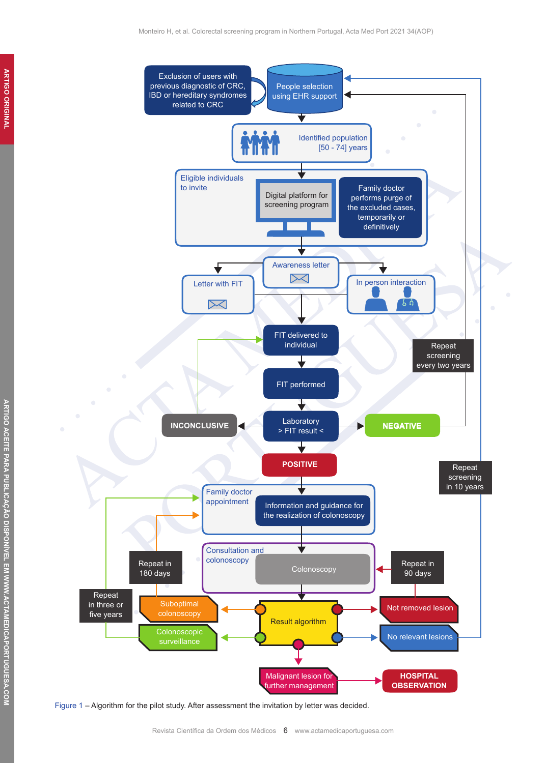

Figure 1 – Algorithm for the pilot study. After assessment the invitation by letter was decided.